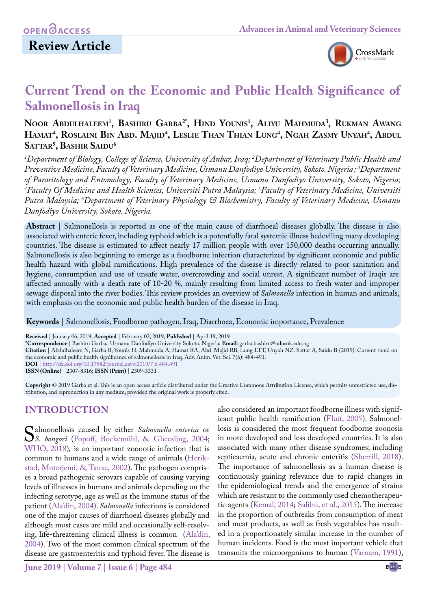

# **Current Trend on the Economic and Public Health Significance of Salmonellosis in Iraq**

# **Noor Abdulhaleem1 , Bashiru Garba2\*, Hind Younis1 , Aliyu Mahmuda3 , Rukman Awang Hamat4 , Roslaini Bin Abd. Majid4 , Leslie Than Thian Lung4 , Ngah Zasmy Unyah4 , Abdul Sattar5 , Bashir Saidu6**

*1 Department of Biology, College of Science, University of Anbar, Iraq; 2 Department of Veterinary Public Health and Preventive Medicine, Faculty of Veterinary Medicine, Usmanu Danfodiyo University, Sokoto. Nigeria; 3 Department of Parasitology and Entomology, Faculty of Veterinary Medicine, Usmanu Danfodiyo University, Sokoto, Nigeria; 4 Faculty Of Medicine and Health Sciences, Universiti Putra Malaysia; 5 Faculty of Veterinary Medicine, Universiti Putra Malaysia; 6 Department of Veterinary Physiology & Biochemistry, Faculty of Veterinary Medicine, Usmanu Danfodiyo University, Sokoto. Nigeria.*

**Abstract** | Salmonellosis is reported as one of the main cause of diarrhoeal diseases globally. The disease is also associated with enteric fever, including typhoid which is a potentially fatal systemic illness bedeviling many developing countries. The disease is estimated to affect nearly 17 million people with over 150,000 deaths occurring annually. Salmonellosis is also beginning to emerge as a foodborne infection characterized by significant economic and public health hazard with global ramifications. High prevalence of the disease is directly related to poor sanitation and hygiene, consumption and use of unsafe water, overcrowding and social unrest. A significant number of Iraqis are affected annually with a death rate of 10-20 %, mainly resulting from limited access to fresh water and improper sewage disposal into the river bodies. This review provides an overview of *Salmonella* infection in human and animals, with emphasis on the economic and public health burden of the disease in Iraq.

**Keywords** | Salmonellosis, Foodborne pathogen, Iraq, Diarrhoea, Economic importance, Prevalence

**Received** | January 06, 2019; **Accepted** | February 02, 2019; **Published** | April 19, 2019

**\*Correspondence** | Bashiru Garba, Usmanu Danfodiyo University Sokoto, Nigeria; **Email**: garba.bashiru@udusok.edu.ng

**Citation** | Abdulhaleem N, Garba B, Younis H, Mahmuda A, Hamat RA, Abd. Majid RB, Lung LTT, Unyah NZ. Sattar A, Saidu B (2019). Current trend on the economic and public health significance of salmonellosis in Iraq. Adv. Anim. Vet. Sci. 7(6): 484-491.

**DOI** | [http://dx.doi.org/10.17582/journal.aavs/2019](http://dx.doi.org/10.17582/journal.aavs/2019/7.6.484.491)/7.6.484.491

**ISSN (Online)** | 2307-8316; **ISSN (Print)** | 2309-3331

**Copyright** © 2019 Garba et al. This is an open access article distributed under the Creative Commons Attribution License, which permits unrestricted use, distribution, and reproduction in any medium, provided the original work is properly cited.

# **Introduction**

Salmonellosis caused by either *Salmonella enterica* or *S. bongori* (Popoff, Bockemühl, & Gheesling, 2004; WHO 2018) is an important zoonotic infection that is [WHO, 2018\)](#page-7-0)*,* is an important zoonotic infection that is common to humans and a wide range of animals ([Herik](#page-6-0)[stad, Motarjemi, & Tauxe, 2002](#page-6-0)). The pathogen comprises a broad pathogenic serovars capable of causing varying levels of illnesses in humans and animals depending on the infecting serotype, age as well as the immune status of the patient (Ala'din, 2004). *Salmonella* infections is considered one of the major causes of diarrhoeal diseases globally and although most cases are mild and occasionally self-resolving, life-threatening clinical illness is common (Ala'din, 2004). Two of the most common clinical spectrum of the disease are gastroenteritis and typhoid fever. The disease is

**June 2019 | Volume 7 | Issue 6 | Page 484**

also considered an important foodborne illness with significant public health ramification ([Fluit, 2005\)](#page-5-0). Salmonellosis is considered the most frequent foodborne zoonosis in more developed and less developed countries. It is also associated with many other disease syndromes; including septicaemia, acute and chronic enteritis ([Sherrill, 2018\)](#page-6-1). The importance of salmonellosis as a human disease is continuously gaining relevance due to rapid changes in the epidemiological trends and the emergence of strains which are resistant to the commonly used chemotherapeutic agents ([Kemal, 2014](#page-6-2)[; Salihu, et al., 2015](#page-6-3)). The increase in the proportion of outbreaks from consumption of meat and meat products, as well as fresh vegetables has resulted in a proportionately similar increase in the number of human incidents. Food is the most important vehicle that transmits the microorganisms to human ([Varnam, 1991\)](#page-7-1),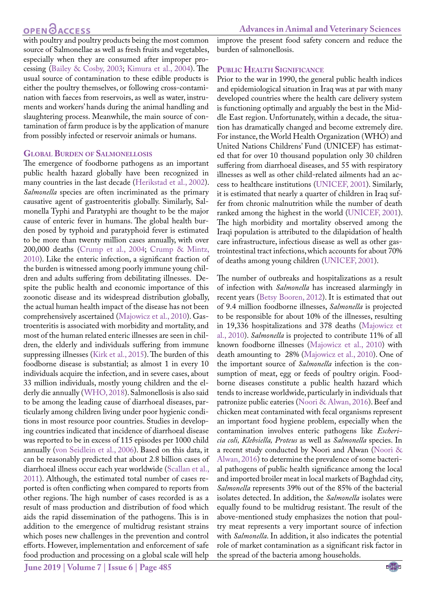# **OPEN**<sub>d</sub>

with poultry and poultry products being the most common source of Salmonellae as well as fresh fruits and vegetables, especially when they are consumed after improper processing ([Bailey & Cosby, 2003](#page-5-1); [Kimura et al., 2004\)](#page-6-4). The usual source of contamination to these edible products is either the poultry themselves, or following cross-contamination with faeces from reservoirs, as well as water, instruments and workers' hands during the animal handling and slaughtering process. Meanwhile, the main source of contamination of farm produce is by the application of manure from possibly infected or reservoir animals or humans.

#### **Global Burden of Salmonellosis**

The emergence of foodborne pathogens as an important public health hazard globally have been recognized in many countries in the last decade ([Herikstad et al., 2002\)](#page-6-0). *Salmonella* species are often incriminated as the primary causative agent of gastroenteritis globally. Similarly, Salmonella Typhi and Paratyphi are thought to be the major cause of enteric fever in humans. The global health burden posed by typhoid and paratyphoid fever is estimated to be more than twenty million cases annually, with over 200,000 deaths [\(Crump et al., 2004;](#page-5-2) [Crump & Mintz,](#page-5-3) [2010](#page-5-3)). Like the enteric infection, a significant fraction of the burden is witnessed among poorly immune young children and adults suffering from debilitating illnesses. Despite the public health and economic importance of this zoonotic disease and its widespread distribution globally, the actual human health impact of the disease has not been comprehensively ascertained (Majowicz et al., 2010). Gastroenteritis is associated with morbidity and mortality, and most of the human related enteric illnesses are seen in children, the elderly and individuals suffering from immune suppressing illnesses [\(Kirk et al., 2015](#page-6-5)). The burden of this foodborne disease is substantial; as almost 1 in every 10 individuals acquire the infection, and in severe cases, about 33 million individuals, mostly young children and the elderly die annually ([WHO, 2018](#page-7-0)). Salmonellosis is also said to be among the leading cause of diarrhoeal diseases, particularly among children living under poor hygienic conditions in most resource poor countries. Studies in developing countries indicated that incidence of diarrhoeal disease was reported to be in excess of 115 episodes per 1000 child annually (von Seidlein et al., 2006). Based on this data, it can be reasonably predicted that about 2.8 billion cases of diarrhoeal illness occur each year worldwide ([Scallan et al.,](#page-6-6) [2011](#page-6-6)). Although, the estimated total number of cases reported is often conflicting when compared to reports from other regions. The high number of cases recorded is as a result of mass production and distribution of food which aids the rapid dissemination of the pathogens. This is in addition to the emergence of multidrug resistant strains which poses new challenges in the prevention and control efforts. However, implementation and enforcement of safe food production and processing on a global scale will help

improve the present food safety concern and reduce the burden of salmonellosis.

### **Public Health Significance**

Prior to the war in 1990, the general public health indices and epidemiological situation in Iraq was at par with many developed countries where the health care delivery system is functioning optimally and arguably the best in the Middle East region. Unfortunately, within a decade, the situation has dramatically changed and become extremely dire. For instance, the World Health Organization (WHO) and United Nations Childrens' Fund (UNICEF) has estimated that for over 10 thousand population only 30 children suffering from diarrhoeal diseases, and 55 with respiratory illnesses as well as other child-related ailments had an access to healthcare institutions ([UNICEF, 2001\)](#page-6-7). Similarly, it is estimated that nearly a quarter of children in Iraq suffer from chronic malnutrition while the number of death ranked among the highest in the world ([UNICEF, 2001](#page-6-7)). The high morbidity and mortality observed among the Iraqi population is attributed to the dilapidation of health care infrastructure, infectious disease as well as other gastrointestinal tract infections, which accounts for about 70% of deaths among young children ([UNICEF, 2001\)](#page-6-7).

The number of outbreaks and hospitalizations as a result of infection with *Salmonella* has increased alarmingly in recent years [\(Betsy Booren, 2012](#page-5-4)). It is estimated that out of 9.4 million foodborne illnesses, *Salmonella* is projected to be responsible for about 10% of the illnesses, resulting in 19,336 hospitalizations and 378 deaths (Majowicz et al., 2010). *Salmonella* is projected to contribute 11% of all known foodborne illnesses (Majowicz et al., 2010) with death amounting to 28% (Majowicz et al., 2010). One of the important source of *Salmonella* infection is the consumption of meat, egg or feeds of poultry origin. Foodborne diseases constitute a public health hazard which tends to increase worldwide, particularly in individuals that patronize public eateries [\(Noori & Alwan, 2016\)](#page-6-8). Beef and chicken meat contaminated with fecal organisms represent an important food hygiene problem, especially when the contamination involves enteric pathogens like *Eschericia coli, Klebsiella, Proteus* as well as *Salmonella* species. In a recent study conducted by Noori and Alwan [\(Noori &](#page-6-8)  [Alwan, 2016](#page-6-8)) to determine the prevalence of some bacterial pathogens of public health significance among the local and imported broiler meat in local markets of Baghdad city, *Salmonella* represents 39% out of the 85% of the bacterial isolates detected. In addition, the *Salmonella* isolates were equally found to be multidrug resistant. The result of the above-mentioned study emphasizes the notion that poultry meat represents a very important source of infection with *Salmonella*. In addition, it also indicates the potential role of market contamination as a significant risk factor in the spread of the bacteria among households.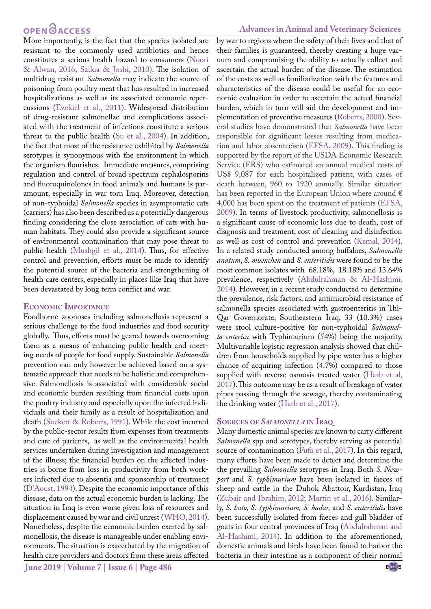# **OPEN**<sub>d</sub>

More importantly, is the fact that the species isolated are resistant to the commonly used antibiotics and hence constitutes a serious health hazard to consumers ([Noori](#page-6-8) [& Alwan, 2016;](#page-6-8) [Saikia & Joshi, 2010](#page-6-9)). The isolation of multidrug resistant *Salmonella* may indicate the source of poisoning from poultry meat that has resulted in increased hospitalizations as well as its associated economic repercussions ([Ezekiel et al., 2011\)](#page-5-5). Widespread distribution of drug-resistant salmonellae and complications associated with the treatment of infections constitute a serious threat to the public health ([Su et al., 2004\)](#page-6-10). In addition, the fact that most of the resistance exhibited by *Salmonella* serotypes is synonymous with the environment in which the organism flourishes. Immediate measures, comprising regulation and control of broad spectrum cephalosporins and fluoroquinolones in food animals and humans is paramount, especially in war torn Iraq. Moreover, detection of non-typhoidal *Salmonella* species in asymptomatic cats (carriers) has also been described as a potentially dangerous finding considering the close association of cats with human habitats. They could also provide a significant source of environmental contamination that may pose threat to public health ([Mushgil et al., 2014\)](#page-6-11). Thus, for effective control and prevention, efforts must be made to identify the potential source of the bacteria and strengthening of health care centers, especially in places like Iraq that have been devastated by long term conflict and war.

### **Economic Importance**

Foodborne zoonoses including salmonellosis represent a serious challenge to the food industries and food security globally. Thus, efforts must be geared towards overcoming them as a means of enhancing public health and meeting needs of people for food supply. Sustainable *Salmonella* prevention can only however be achieved based on a systematic approach that needs to be holistic and comprehensive. Salmonellosis is associated with considerable social and economic burden resulting from financial costs upon the poultry industry and especially upon the infected individuals and their family as a result of hospitalization and death ([Sockett & Roberts, 1991](#page-6-12)). While the cost incurred by the public-sector results from expenses from treatments and care of patients, as well as the environmental health services undertaken during investigation and management of the illness; the financial burden on the affected industries is borne from loss in productivity from both workers infected due to absentia and sponsorship of treatment (D'Aoust, 1994). Despite the economic importance of this disease, data on the actual economic burden is lacking. The situation in Iraq is even worse given loss of resources and displacement caused by war and civil unrest ([WHO, 2014\)](#page-7-2). Nonetheless, despite the economic burden exerted by salmonellosis, the disease is manageable under enabling environments. The situation is exacerbated by the migration of health care providers and doctors from these areas affected

### **Advances in Animal and Veterinary Sciences**

by war to regions where the safety of their lives and that of their families is guaranteed, thereby creating a huge vacuum and compromising the ability to actually collect and ascertain the actual burden of the disease. The estimation of the costs as well as familiarization with the features and characteristics of the disease could be useful for an economic evaluation in order to ascertain the actual financial burden, which in turn will aid the development and implementation of preventive measures ([Roberts, 2000](#page-6-13)). Several studies have demonstrated that *Salmonella* have been responsible for significant losses resulting from medication and labor absenteeism [\(EFSA, 2009\)](#page-5-6). This finding is supported by the report of the USDA Economic Research Service (ERS) who estimated an annual medical costs of US\$ 9,087 for each hospitalized patient, with cases of death between, 960 to 1920 annually. Similar situation has been reported in the European Union where around  $\epsilon$ 4,000 has been spent on the treatment of patients [\(EFSA,](#page-5-6)  [2009\)](#page-5-6). In terms of livestock productivity, salmonellosis is a significant cause of economic loss due to death, cost of diagnosis and treatment, cost of cleaning and disinfection as well as cost of control and prevention ([Kemal, 2014\)](#page-6-2). In a related study conducted among buffaloes, *Salmonella anatum*, *S. muenchen* and *S. enteritidis* were found to be the most common isolates with 68.18%, 18.18% and 13.64% prevalence, respectively [\(Abdulrahman & Al-Hashimi,](#page-5-7)  [2014\)](#page-5-7). However, in a recent study conducted to determine the prevalence, risk factors, and antimicrobial resistance of salmonella species associated with gastroenteritis in Thi-Qar Governorate, Southeastern Iraq, 33 (10.3%) cases were stool culture-positive for non-typhoidal *Salmonella enterica* with Typhimurium (54%) being the majority. Multivariable logistic regression analysis showed that children from households supplied by pipe water has a higher chance of acquiring infection (4.7%) compared to those supplied with reverse osmosis treated water (Harb et al, 2017). This outcome may be as a result of breakage of water pipes passing through the sewage, thereby contaminating the drinking water (Harb et al., 2017).

### **Sources of** *Salmonella* **in Iraq**

Many domestic animal species are known to carry different *Salmonella* spp and serotypes, thereby serving as potential source of contamination [\(Fufa et al., 2017\)](#page-5-8). In this regard, many efforts have been made to detect and determine the the prevailing *Salmonella* serotypes in Iraq. Both *S. Newport* and *S. typhimurium* have been isolated in faeces of sheep and cattle in the Duhok Abattoir, Kurdistan, Iraq (Zubair and Ibrahim, 2012; [Martin et al., 2016\)](#page-6-14). Similarly, *S. hato, S. typhimurium, S. hadar,* and *S. enteritidis* have been successfully isolated from faeces and gall bladder of goats in four central provinces of Iraq [\(Abdulrahman and](#page-5-7)  [Al-Hashimi, 2014\)](#page-5-7). In addition to the aforementioned, domestic animals and birds have been found to harbor the bacteria in their intestine as a component of their normal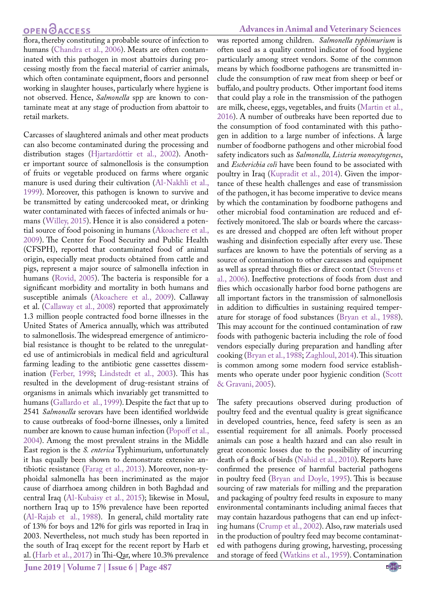## **OPEN**OACCESS

flora, thereby constituting a probable source of infection to humans ([Chandra et al., 2006\)](#page-5-9). Meats are often contaminated with this pathogen in most abattoirs during processing mostly from the faecal material of carrier animals, which often contaminate equipment, floors and personnel working in slaughter houses, particularly where hygiene is not observed. Hence, *Salmonella* spp are known to contaminate meat at any stage of production from abattoir to retail markets.

Carcasses of slaughtered animals and other meat products can also become contaminated during the processing and distribution stages (Hjartardóttir et al., 2002). Another important source of salmonellosis is the consumption of fruits or vegetable produced on farms where organic manure is used during their cultivation [\(Al-Nakhli et al.,](#page-5-10) [1999\)](#page-5-10). Moreover, this pathogen is known to survive and be transmitted by eating undercooked meat, or drinking water contaminated with faeces of infected animals or humans (Willey, 2015). Hence it is also considered a potential source of food poisoning in humans [\(Akoachere et al.,](#page-5-11) [2009\)](#page-5-11). The Center for Food Security and Public Health (CFSPH), reported that contaminated food of animal origin, especially meat products obtained from cattle and pigs, represent a major source of salmonella infection in humans ([Rovid, 2005\)](#page-6-15). The bacteria is responsible for a significant morbidity and mortality in both humans and susceptible animals [\(Akoachere et al., 2009](#page-5-11)). Callaway et al. ([Callaway et al., 2008\)](#page-5-12) reported that approximately 1.3 million people contracted food borne illnesses in the United States of America annually, which was attributed to salmonellosis. The widespread emergence of antimicrobial resistance is thought to be related to the unregulated use of antimicrobials in medical field and agricultural farming leading to the antibiotic gene cassettes dissemination ([Ferber, 1998;](#page-5-13) Lindstedt et al., 2003). This has resulted in the development of drug-resistant strains of organisms in animals which invariably get transmitted to humans [\(Gallardo et al., 1999](#page-5-14)). Despite the fact that up to 2541 *Salmonella* serovars have been identified worldwide to cause outbreaks of food-borne illnesses, only a limited number are known to cause human infection (Popoff et al., 2004). Among the most prevalent strains in the Middle East region is the *S. enterica* Typhimurium, unfortunately it has equally been shown to demonstrate extensive antibiotic resistance [\(Farag et al., 2013\)](#page-5-15). Moreover, non-typhoidal salmonella has been incriminated as the major cause of diarrhoea among children in both Baghdad and central Iraq ([Al-Kubaisy et al., 2015](#page-5-16)); likewise in Mosul, northern Iraq up to 15% prevalence have been reported [\(Al-Rajab et al., 1988](#page-5-17)). In general, child mortality rate of 13% for boys and 12% for girls was reported in Iraq in 2003. Nevertheless, not much study has been reported in the south of Iraq except for the recent report by Harb et al. (Harb et al., 2017) in Thi-Qar, where 10.3% prevalence

### **Advances in Animal and Veterinary Sciences**

was reported among children. *Salmonella typhimurium* is often used as a quality control indicator of food hygiene particularly among street vendors. Some of the common means by which foodborne pathogens are transmitted include the consumption of raw meat from sheep or beef or buffalo, and poultry products. Other important food items that could play a role in the transmission of the pathogen are milk, cheese, eggs, vegetables, and fruits ([Martin et al.,](#page-6-14)  [2016](#page-6-14)). A number of outbreaks have been reported due to the consumption of food contaminated with this pathogen in addition to a large number of infections. A large number of foodborne pathogens and other microbial food safety indicators such as *Salmonella, Listeria monocytogenes*, and *Escherichia coli* have been found to be associated with poultry in Iraq ([Kupradit et al., 2014\)](#page-6-16). Given the importance of these health challenges and ease of transmission of the pathogen, it has become imperative to device means by which the contamination by foodborne pathogens and other microbial food contamination are reduced and effectively monitored. The slab or boards where the carcasses are dressed and chopped are often left without proper washing and disinfection especially after every use. These surfaces are known to have the potentials of serving as a source of contamination to other carcasses and equipment as well as spread through flies or direct contact (Stevens et al., 2006). Ineffective protections of foods from dust and flies which occasionally harbor food borne pathogens are all important factors in the transmission of salmonellosis in addition to difficulties in sustaining required temperature for storage of food substances ([Bryan et al., 1988](#page-5-18)). This may account for the continued contamination of raw foods with pathogenic bacteria including the role of food vendors especially during preparation and handling after cooking [\(Bryan et al., 1988](#page-5-18); Zaghloul, 2014). This situation is common among some modern food service establishments who operate under poor hygienic condition ([Scott](#page-6-17)  [& Gravani, 2005\)](#page-6-17).

The safety precautions observed during production of poultry feed and the eventual quality is great significance in developed countries, hence, feed safety is seen as an essential requirement for all animals. Poorly processed animals can pose a health hazard and can also result in great economic losses due to the possibility of incurring death of a flock of birds ([Nahid et al., 2010\)](#page-6-18). Reports have confirmed the presence of harmful bacterial pathogens in poultry feed ([Bryan and Doyle, 1995\)](#page-5-18). This is because sourcing of raw materials for milling and the preparation and packaging of poultry feed results in exposure to many environmental contaminants including animal faeces that may contain hazardous pathogens that can end up infecting humans [\(Crump et al., 2002](#page-5-19)). Also, raw materials used in the production of poultry feed may become contaminated with pathogens during growing, harvesting, processing and storage of feed ([Watkins et al., 1959](#page-7-3)). Contamination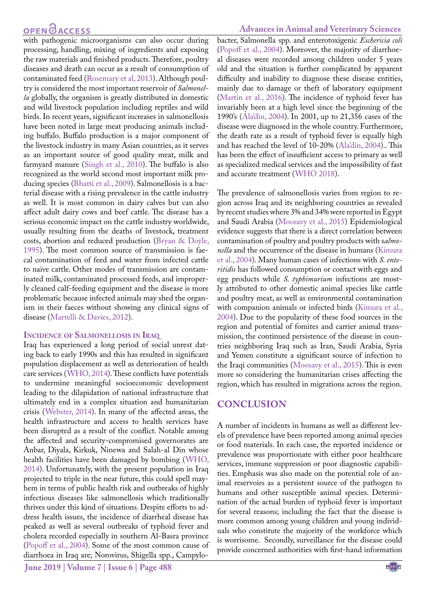## **OPEN GACCESS**

with pathogenic microorganisms can also occur during processing, handling, mixing of ingredients and exposing the raw materials and finished products. Therefore, poultry diseases and death can occur as a result of consumption of contaminated feed ([Rosemary et al, 2013\)](#page-6-19). Although poultry is considered the most important reservoir of *Salmonella* globally, the organism is greatly distributed in domestic and wild livestock population including reptiles and wild birds. In recent years, significant increases in salmonellosis have been noted in large meat producing animals including buffalo. Buffalo production is a major component of the livestock industry in many Asian countries, as it serves as an important source of good quality meat, milk and farmyard manure ([Singh et al., 2010\)](#page-6-20). The buffalo is also recognized as the world second most important milk producing species ([Bhatti et al., 2009](#page-5-20)). Salmonellosis is a bacterial disease with a rising prevalence in the cattle industry as well. It is most common in dairy calves but can also affect adult dairy cows and beef cattle. The disease has a serious economic impact on the cattle industry worldwide, usually resulting from the deaths of livestock, treatment costs, abortion and reduced production ([Bryan & Doyle,](#page-5-18) [1995\)](#page-5-18). The most common source of transmission is faecal contamination of feed and water from infected cattle to naïve cattle. Other modes of transmission are contaminated milk, contaminated processed feeds, and improperly cleaned calf-feeding equipment and the disease is more problematic because infected animals may shed the organism in their faeces without showing any clinical signs of disease ([Martelli & Davies, 2012](#page-6-21)).

#### **Incidence of Salmonellosis in Iraq**

Iraq has experienced a long period of social unrest dating back to early 1990s and this has resulted in significant population displacement as well as deterioration of health care services ([WHO, 2014\)](#page-7-2). These conflicts have potentials to undermine meaningful socioeconomic development leading to the dilapidation of national infrastructure that ultimately end in a complex situation and humanitarian crisis (Webster, 2014). In many of the affected areas, the health infrastructure and access to health services have been disrupted as a result of the conflict. Notable among the affected and security-compromised governorates are Anbar, Diyala, Kirkuk, Ninewa and Salah-al Din whose health facilities have been damaged by bombing ([WHO,](#page-7-2) [2014\)](#page-7-2). Unfortunately, with the present population in Iraq projected to triple in the near future, this could spell mayhem in terms of public health risk and outbreaks of highly infectious diseases like salmonellosis which traditionally thrives under this kind of situations. Despite efforts to address health issues, the incidence of diarrheal disease has peaked as well as several outbreaks of typhoid fever and cholera recorded especially in southern Al-Basra province (Popoff et al., 2004). Some of the most common cause of diarrhoea in Iraq are; Norovirus, Shigella spp., Campylo-

**June 2019 | Volume 7 | Issue 6 | Page 488**

#### **Advances in Animal and Veterinary Sciences**

bacter, Salmonella spp. and enterotoxigenic *Eschericia coli* (Popoff et al., 2004). Moreover, the majority of diarrhoeal diseases were recorded among children under 5 years old and the situation is further complicated by apparent difficulty and inability to diagnose these disease entities, mainly due to damage or theft of laboratory equipment ([Martin et al., 2016\)](#page-6-14). The incidence of typhoid fever has invariably been at a high level since the beginning of the 1990's (Ala'din, 2004). In 2001, up to 21,356 cases of the disease were diagnosed in the whole country. Furthermore, the death rate as a result of typhoid fever is equally high and has reached the level of 10-20% (Ala'din, 2004).. This has been the effect of insufficient access to primary as well as specialized medical services and the impossibility of fast and accurate treatment ([WHO 2018\)](#page-7-0).

The prevalence of salmonellosis varies from region to region across Iraq and its neighboring countries as revealed by recent studies where 3% and 34% were reported in Egypt and Saudi Arabia [\(Moosavy et al., 2015](#page-6-22)) Epidemiological evidence suggests that there is a direct correlation between contamination of poultry and poultry products with s*almonella* and the occurrence of the disease in humans [\(Kimura](#page-6-4)  [et al., 2004](#page-6-4)). Many human cases of infections with *S. enteritidis* has followed consumption or contact with eggs and egg products while *S. typhimurium* infections are mostly attributed to other domestic animal species like cattle and poultry meat, as well as environmental contamination with companion animals or infected birds [\(Kimura et al.,](#page-6-4)  [2004](#page-6-4)). Due to the popularity of these food sources in the region and potential of fomites and carrier animal transmission, the continued persistence of the disease in countries neighboring Iraq such as Iran, Saudi Arabia, Syria and Yemen constitute a significant source of infection to the Iraqi communities ([Moosavy et al., 2015](#page-6-22)). This is even more so considering the humanitarian crises affecting the region, which has resulted in migrations across the region.

### **Conclusion**

A number of incidents in humans as well as different levels of prevalence have been reported among animal species or food materials. In each case, the reported incidence or prevalence was proportionate with either poor healthcare services, immune suppression or poor diagnostic capabilities. Emphasis was also made on the potential role of animal reservoirs as a persistent source of the pathogen to humans and other susceptible animal species. Determination of the actual burden of typhoid fever is important for several reasons; including the fact that the disease is more common among young children and young individuals who constitute the majority of the workforce which is worrisome. Secondly, surveillance for the disease could provide concerned authorities with first-hand information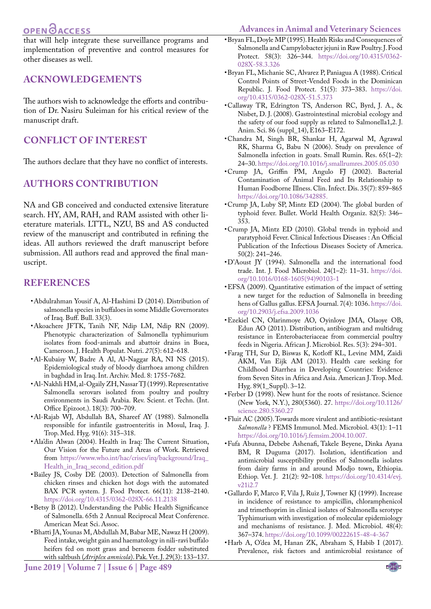# **OPEN**OACCESS

<span id="page-5-18"></span>**Advances in Animal and Veterinary Sciences**

that will help integrate these surveillance programs and implementation of preventive and control measures for other diseases as well.

### **Acknowledgements**

The authors wish to acknowledge the efforts and contribution of Dr. Nasiru Suleiman for his critical review of the manuscript draft.

### **Conflict of interest**

The authors declare that they have no conflict of interests.

### **Authors Contribution**

NA and GB conceived and conducted extensive literature search. HY, AM, RAH, and RAM assisted with other lieterature materials. LTTL, NZU, BS and AS conducted review of the manuscript and contributed in refining the ideas. All authors reviewed the draft manuscript before submission. All authors read and approved the final manuscript.

### **References**

- <span id="page-5-7"></span>• Abdulrahman Yousif A, Al-Hashimi D (2014). Distribution of salmonella species in buffaloes in some Middle Governorates of Iraq. Buff. Bull. 33(3).
- <span id="page-5-11"></span>• Akoachere JFTK, Tanih NF, Ndip LM, Ndip RN (2009). Phenotypic characterization of Salmonella typhimurium isolates from food-animals and abattoir drains in Buea, Cameroon. J. Health Populat. Nutri. *27*(5): 612–618.
- <span id="page-5-16"></span>• Al-Kubaisy W, Badre A Al, Al-Naggar RA, NI NS (2015). Epidemiological study of bloody diarrhoea among children in baghdad in Iraq. Int. Archiv. Med. 8: 1755-7682.
- <span id="page-5-10"></span>• Al-Nakhli HM, al-Ogaily ZH, Nassar TJ (1999). Representative Salmonella serovars isolated from poultry and poultry environments in Saudi Arabia. Rev. Scient. et Techn. (Int. Office Epizoot.). 18(3): 700–709.
- <span id="page-5-17"></span>• Al-Rajab WJ, Abdullah BA, Shareef AY (1988). Salmonella responsible for infantile gastroenteritis in Mosul, Iraq. J. Trop. Med. Hyg. 91(6): 315–318.
- • Ala'din Alwan (2004). Health in Iraq: The Current Situation, Our Vision for the Future and Areas of Work. Retrieved from [https://www.who.int/hac/crises/irq/background/Iraq\\_](https://www.who.int/hac/crises/irq/background/Iraq_Health_in_Iraq_second_edition.pdf ) [Health\\_in\\_Iraq\\_second\\_edition.pdf](https://www.who.int/hac/crises/irq/background/Iraq_Health_in_Iraq_second_edition.pdf )
- <span id="page-5-1"></span>• Bailey JS, Cosby DE (2003). Detection of Salmonella from chicken rinses and chicken hot dogs with the automated BAX PCR system. J. Food Protect. 66(11): 2138–2140. [https://doi.org/10.4315/0362-028X-66.11.2138](https://doi.org/10.4315/0362-028X-66.11.2138 )
- <span id="page-5-4"></span>• Betsy B (2012). Understanding the Public Health Significance of Salmonella. 65th 2 Annual Reciprocal Meat Conference. American Meat Sci. Assoc.
- <span id="page-5-20"></span>• Bhatti JA, Younas M, Abdullah M, Babar ME, Nawaz H (2009). Feed intake, weight gain and haematology in nili-ravi buffalo heifers fed on mott grass and berseem fodder substituted with saltbush (*Atriplex amnicola*). Pak. Vet. J. 29(3): 133–137.
- • Bryan FL, Doyle MP (1995). Health Risks and Consequences of Salmonella and Campylobacter jejuni in Raw Poultry. J. Food Protect. 58(3): 326–344. [https://doi.org/10.4315/0362-](https://doi.org/10.4315/0362-028X-58.3.326 ) [028X-58.3.326](https://doi.org/10.4315/0362-028X-58.3.326 )
- • Bryan FL, Michanie SC, Alvarez P, Paniagua A (1988). Critical Control Points of Street-Vended Foods in the Dominican Republic. J. Food Protect. 51(5): 373–383. [https://doi.](https://doi.org/10.4315/0362-028X-51.5.373 ) [org/10.4315/0362-028X-51.5.373](https://doi.org/10.4315/0362-028X-51.5.373 )
- <span id="page-5-12"></span>• Callaway TR, Edrington TS, Anderson RC, Byrd, J. A., & Nisbet, D. J. (2008). Gastrointestinal microbial ecology and the safety of our food supply as related to Salmonella1,2. J. Anim. Sci. 86 (suppl\_14), E163–E172.
- <span id="page-5-9"></span>• Chandra M, Singh BR, Shankar H, Agarwal M, Agrawal RK, Sharma G, Babu N (2006). Study on prevalence of Salmonella infection in goats. Small Rumin. Res. 65(1–2): 24–30. [https://doi.org/10.1016/j.smallrumres.2005.05.030](https://doi.org/10.1016/j.smallrumres.2005.05.030 )
- <span id="page-5-19"></span>• Crump JA, Griffin PM, Angulo FJ (2002). Bacterial Contamination of Animal Feed and Its Relationship to Human Foodborne Illness. Clin. Infect. Dis. 35(7): 859–865 [https://doi.org/10.1086/342885.](https://doi.org/10.1086/342885.  )
- <span id="page-5-2"></span>• Crump JA, Luby SP, Mintz ED (2004). The global burden of typhoid fever. Bullet. World Health Organiz. 82(5): 346– 353.
- <span id="page-5-3"></span>• Crump JA, Mintz ED (2010). Global trends in typhoid and paratyphoid Fever. Clinical Infectious Diseases : An Official Publication of the Infectious Diseases Society of America. 50(2): 241–246.
- • D'Aoust JY (1994). Salmonella and the international food trade. Int. J. Food Microbiol. 24(1–2): 11–31. [https://doi.](https://doi.org/10.1016/0168-1605(94)90103-1 ) [org/10.1016/0168-1605\(94\)90103-1](https://doi.org/10.1016/0168-1605(94)90103-1 )
- <span id="page-5-6"></span>• EFSA (2009). Quantitative estimation of the impact of setting a new target for the reduction of Salmonella in breeding hens of Gallus gallus. EFSA Journal. 7(4): 1036. [https://doi.](https://doi.org/10.2903/j.efsa.2009.1036 ) [org/10.2903/j.efsa.2009.1036](https://doi.org/10.2903/j.efsa.2009.1036 )
- <span id="page-5-5"></span>• Ezekiel CN, Olarinmoye AO, Oyinloye JMA, Olaoye OB, Edun AO (2011). Distribution, antibiogram and multidrug resistance in Enterobacteriaceae from commercial poultry feeds in Nigeria. African J. Microbiol. Res. 5(3): 294–301.
- <span id="page-5-15"></span>• Farag TH, Sur D, Biswas K, Kotloff KL, Levine MM, Zaidi AKM, Van Eijk AM (2013). Health care seeking for Childhood Diarrhea in Developing Countries: Evidence from Seven Sites in Africa and Asia. American J. Trop. Med. Hyg. 89(1\_Suppl). 3–12.
- <span id="page-5-13"></span>• Ferber D (1998). New hunt for the roots of resistance. Science (New York, N.Y.), 280(5360). 27. [https://doi.org/10.1126/](https://doi.org/10.1126/science.280.5360.27 ) [science.280.5360.27](https://doi.org/10.1126/science.280.5360.27 )
- <span id="page-5-0"></span>• Fluit AC (2005). Towards more virulent and antibiotic-resistant *Salmonella* ? FEMS Immunol. Med. Microbiol. 43(1): 1–11 [https://doi.org/10.1016/j.femsim.2004.10.007.](https://doi.org/10.1016/j.femsim.2004.10.007.  )
- <span id="page-5-8"></span>• Fufa Abunna, Debebe Ashenafi, Takele Beyene, Dinka Ayana BM, R Duguma (2017). Isolation, identification and antimicrobial susceptibility profiles of Salmonella isolates from dairy farms in and around Modjo town, Ethiopia. Ethiop. Vet. J. 21(2): 92–108. [https://doi.org/10.4314/evj.](https://doi.org/10.4314/evj.v21i2.7 ) [v21i2.7](https://doi.org/10.4314/evj.v21i2.7 )
- <span id="page-5-14"></span>• Gallardo F, Marco F, Vila J, Ruiz J, Towner KJ (1999). Increase in incidence of resistance to ampicillin, chloramphenicol and trimethoprim in clinical isolates of Salmonella serotype Typhimurium with investigation of molecular epidemiology and mechanisms of resistance. J. Med. Microbiol. 48(4): 367–374. [https://doi.org/10.1099/00222615-48-4-367](https://doi.org/10.1099/00222615-48-4-367 )
- • Harb A, O'dea M, Hanan ZK, Abraham S, Habib I (2017). Prevalence, risk factors and antimicrobial resistance of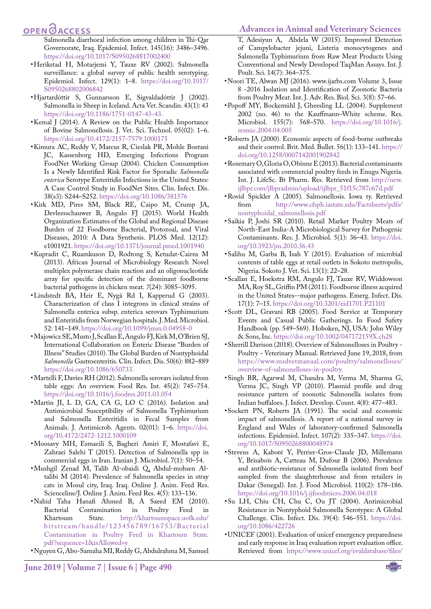#### **Advances in Animal and Veterinary Sciences**

## **OPEN**<sub>d</sub>

Salmonella diarrhoeal infection among children in Thi-Qar Governorate, Iraq. Epidemiol. Infect. 145(16): 3486–3496. [https://doi.org/10.1017/S0950268817002400](https://doi.org/10.1017/S0950268817002400  ) 

- <span id="page-6-0"></span>• Herikstad H, Motarjemi Y, Tauxe RV (2002). Salmonella surveillance: a global survey of public health serotyping. Epidemiol. Infect. 129(1): 1–8. [https://doi.org/10.1017/](https://doi.org/10.1017/S0950268802006842 ) [S0950268802006842](https://doi.org/10.1017/S0950268802006842 )
- • Hjartardóttir S, Gunnarsson E, Sigvaldadóttir J (2002). Salmonella in Sheep in Iceland. Acta Vet. Scandin. 43(1): 43 [https://doi.org/10.1186/1751-0147-43-43.](https://doi.org/10.1186/1751-0147-43-43.  )
- <span id="page-6-2"></span>• Kemal J (2014). A Review on the Public Health Importance of Bovine Salmonellosis. J. Vet. Sci. Technol. 05(02): 1–6. <https://doi.org/10.4172/2157-7579.1000175>
- <span id="page-6-4"></span>• Kimura AC, Reddy V, Marcus R, Cieslak PR, Mohle Boetani JC, Kassenborg HD, Emerging Infections Program FoodNet Working Group (2004). Chicken Consumption Is a Newly Identified Risk Factor for Sporadic *Salmonella enterica* Serotype Enteritidis Infections in the United States: A Case Control Study in FoodNet Sites. Clin. Infect. Dis. 38(s3): S244–S252.<https://doi.org/10.1086/381576>
- <span id="page-6-5"></span>• Kirk MD, Pires SM, Black RE, Caipo M, Crump JA, Devleesschauwer B, Angulo FJ (2015). World Health Organization Estimates of the Global and Regional Disease Burden of 22 Foodborne Bacterial, Protozoal, and Viral Diseases, 2010: A Data Synthesis. PLOS Med. 12(12): e100192[1. https://doi.org/10.1371/journal.pmed.1001940](https://doi.org/10.1371/journal.pmed.1001940)
- <span id="page-6-16"></span>• Kupradit C, Ruamkuson D, Rodtong S, Ketudat-Cairns M (2013). African Journal of Microbiology Research Novel multiplex polymerase chain reaction and an oligonucleotide array for specific detection of the dominant foodborne bacterial pathogens in chicken meat. *7*(24): 3085–3095.
- • Lindstedt BA, Heir E, Nygå Rd I, Kapperud G (2003). Characterization of class I integrons in clinical strains of Salmonella enterica subsp. enterica serovars Typhimurium and Enteritidis from Norwegian hospitals. J. Med. Microbiol. 52: 141–149. [https://doi.org/10.1099/jmm.0.04958-0](https://doi.org/10.1099/jmm.0.04958-0 )
- • Majowicz SE, Musto J, Scallan E, Angulo FJ, Kirk M, O'Brien SJ, International Collaboration on Enteric Disease "Burden of Illness" Studies (2010). The Global Burden of Nontyphoidal *Salmonella* Gastroenteritis. Clin. Infect. Dis. 50(6): 882–889 [https://doi.org/10.1086/650733.](https://doi.org/10.1086/650733.  )
- <span id="page-6-21"></span>• Martelli F, Davies RH (2012). Salmonella serovars isolated from table eggs: An overview. Food Res. Int. 45(2): 745–754. [https://doi.org/10.1016/j.foodres.2011.03.054](https://doi.org/10.1016/j.foodres.2011.03.054 )
- <span id="page-6-14"></span>• Martin JI, L D, GA, CA G, LO C (2016). Isolation and Antimicrobial Susceptibility of Salmonella Typhimurium and Salmonella Enteritidis in Fecal Samples from Animals. J. Antimicrob. Agents. 02(01): 1–6. [https://doi.](https://doi.org/10.4172/2472-1212.1000109 ) [org/10.4172/2472-1212.1000109](https://doi.org/10.4172/2472-1212.1000109 )
- <span id="page-6-22"></span>• Moosavy MH, Esmaeili S, Bagheri Amiri F, Mostafavi E, Zahraei Salehi T (2015). Detection of Salmonella spp in commercial eggs in Iran. Iranian J. Microbiol. 7(1): 50–54.
- <span id="page-6-11"></span>• Mushgil Zenad M, Talib Al-obaidi Q, Abdul-mohsen Altalibi M (2014). Prevalence of Salmonella species in stray cats in Mosul city, Iraq. Iraq. Online J. Anim. Feed Res. Scienceline/J. Online J. Anim. Feed Res. 4(5): 133–136.
- <span id="page-6-18"></span>• Nahid Taha Hanafi Ahmed B, A Saeed EM (2010). Bacterial Contamination<br>Khartoum State. h [http://khartoumspace.uofk.edu/](http://khartoumspace.uofk.edu/bitstream/handle/123456789/16753/Bacterial Contamination in Poultry Feed in Khartoum State.pdf?sequence=1&isAllowed=y ) bitstream/handle/123456789/16753/Bacterial [Contamination in Poultry Feed in Khartoum State.](http://khartoumspace.uofk.edu/bitstream/handle/123456789/16753/Bacterial Contamination in Poultry Feed in Khartoum State.pdf?sequence=1&isAllowed=y ) [pdf?sequence=1&isAllowed=y](http://khartoumspace.uofk.edu/bitstream/handle/123456789/16753/Bacterial Contamination in Poultry Feed in Khartoum State.pdf?sequence=1&isAllowed=y )

• Nguyen G, Abo-Samaha MI, Reddy G, Abdulrahma M, Samuel

T, Adesiyun A, Abdela W (2015). Improved Detection of Campylobacter jejuni, Listeria monocytogenes and Salmonella Typhimurium from Raw Meat Products Using Conventional and Newly Developed TaqMan Assays. Int. J. Poult. Sci. 14(7): 364–375.

- <span id="page-6-8"></span>• Noori TE, Alwan MJ (2016). www.ijarbs.com Volume 3, Issue 8 -2016 Isolation and Identification of Zoonotic Bacteria from Poultry Meat. Int. J. Adv. Res. Biol. Sci. 3(8): 57–66.
- • Popoff MY, Bockemühl J, Gheesling LL (2004). Supplement 2002 (no. 46) to the Kauffmann–White scheme. Res. Microbiol. 155(7): 568–570. [https://doi.org/10.1016/j.](https://doi.org/10.1016/j.resmic.2004.04.005 ) [resmic.2004.04.005](https://doi.org/10.1016/j.resmic.2004.04.005 )
- <span id="page-6-13"></span>• Roberts JA (2000). Economic aspects of food-borne outbreaks and their control. Brit. Med. Bullet. 56(1): 133–141. [https://](https://doi.org/10.1258/0007142001902842 ) [doi.org/10.1258/0007142001902842](https://doi.org/10.1258/0007142001902842 )
- <span id="page-6-19"></span>• Rosemary O, Gloria O, Obinne E (2013). Bacterial contaminants associated with commercial poultry feeds in Enugu Nigeria. Int. J. LifeSc. Bt Pharm. Res. Retrieved fro[m http://new.]( http://new.ijlbpr.com/jlbpradmin/upload/ijlbpr_51f15c787c67d.pdf ) [ijlbpr.com/jlbpradmin/upload/ijlbpr\\_51f15c787c67d.pdf]( http://new.ijlbpr.com/jlbpradmin/upload/ijlbpr_51f15c787c67d.pdf )
- <span id="page-6-15"></span>• Rovid Spickler A (2005). Salmonellosis. Iowa ty. Retrieved from [http://www.cfsph.iastate.edu/Factsheets/pdfs/](http://www.cfsph.iastate.edu/Factsheets/pdfs/nontyphoidal_salmonellosis.pdf ) [nontyphoidal\\_salmonellosis.pdf](http://www.cfsph.iastate.edu/Factsheets/pdfs/nontyphoidal_salmonellosis.pdf )
- <span id="page-6-9"></span>• Saikia P, Joshi SR (2010). Retail Market Poultry Meats of North-East India-A Microbiological Survey for Pathogenic Contaminants. Res. J. Microbiol. 5(1): 36–43. [https://doi.](https://doi.org/10.3923/jm.2010.36.43 ) [org/10.3923/jm.2010.36.43](https://doi.org/10.3923/jm.2010.36.43 )
- <span id="page-6-3"></span>• Salihu M, Garba B, Isah Y (2015). Evaluation of microbial contents of table eggs at retail outlets in Sokoto metropolis, Nigeria. Sokoto J. Vet. Sci. 13(1): 22–28.
- <span id="page-6-6"></span>• Scallan E, Hoekstra RM, Angulo FJ, Tauxe RV, Widdowson MA, Roy SL, Griffin PM (2011). Foodborne illness acquired in the United States--major pathogens. Emerg. Infect. Dis. 17(1): 7–15[. https://doi.org/10.3201/eid1701.P21101]( https://doi.org/10.3201/eid1701.P21101 )
- <span id="page-6-17"></span>• Scott DL, Gravani RB (2005). Food Service at Temporary Events and Casual Public Gatherings. In Food Safety Handbook (pp. 549–569). Hoboken, NJ, USA: John Wiley & Sons, Inc[. https://doi.org/10.1002/047172159X.ch28]( https://doi.org/10.1002/047172159X.ch28 )
- <span id="page-6-1"></span>• Sherrill Davison (2018). Overview of Salmonelloses in Poultry -Poultry - Veterinary Manual. Retrieved June 19, 2018, from [https://www.msdvetmanual.com/poultry/salmonelloses/](https://www.msdvetmanual.com/poultry/salmonelloses/overview-of-salmonelloses-in-poultry. ) [overview-of-salmonelloses-in-poultry.](https://www.msdvetmanual.com/poultry/salmonelloses/overview-of-salmonelloses-in-poultry. )
- <span id="page-6-20"></span>• Singh BR, Agarwal M, Chandra M, Verma M, Sharma G, Verma JC, Singh VP (2010). Plasmid profile and drug resistance pattern of zoonotic Salmonella isolates from Indian buffaloes. J. Infect. Develop. Count. 4(8): 477–483.
- <span id="page-6-12"></span>• Sockett PN, Roberts JA (1991). The social and economic impact of salmonellosis. A report of a national survey in England and Wales of laboratory-confirmed Salmonella infections. Epidemiol. Infect. 107(2): 335–347. [https://doi.](https://doi.org/10.1017/S0950268800048974 ) [org/10.1017/S0950268800048974](https://doi.org/10.1017/S0950268800048974 )
- • Stevens A, Kaboré Y, Perrier-Gros-Claude JD, Millemann Y, Brisabois A, Catteau M, Dufour B (2006). Prevalence and antibiotic-resistance of Salmonella isolated from beef sampled from the slaughterhouse and from retailers in Dakar (Senegal). Int. J. Food Microbiol. 110(2): 178–186. [https://doi.org/10.1016/j.ijfoodmicro.2006.04.018](https://doi.org/10.1016/j.ijfoodmicro.2006.04.018 )
- <span id="page-6-10"></span>• Su LH, Chiu CH, Chu C, Ou JT (2004). Antimicrobial Resistance in Nontyphoid Salmonella Serotypes: A Global Challenge. Clin. Infect. Dis. 39(4): 546–551. [https://doi.](https://doi.org/10.1086/422726 ) [org/10.1086/422726](https://doi.org/10.1086/422726 )
- <span id="page-6-7"></span>• UNICEF (2001). Evaluation of unicef emergency preparedness and early response in Iraq evaluation report evaluation office. Retrieved from [https://www.unicef.org/evaldatabase/files/](https://www.unicef.org/evaldatabase/files/Iraq_evaluation_FINAL_2006.pdf)